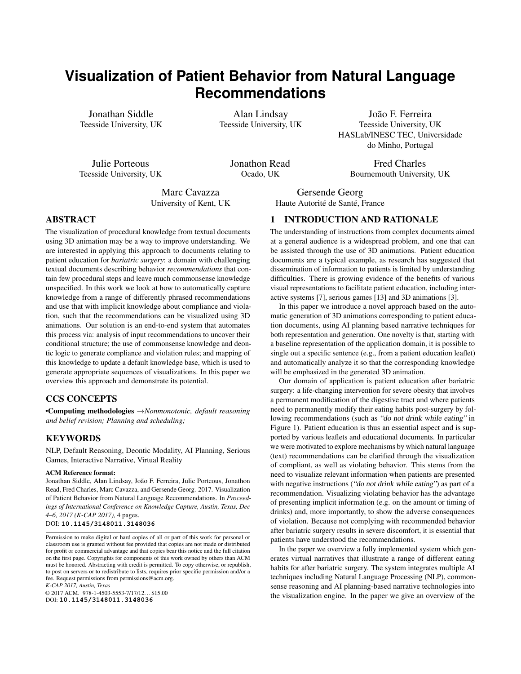# **Visualization of Patient Behavior from Natural Language Recommendations**

Jonathan Siddle Teesside University, UK

Alan Lindsay Teesside University, UK

João F. Ferreira Teesside University, UK HASLab/INESC TEC, Universidade do Minho, Portugal

> Fred Charles Bournemouth University, UK

Julie Porteous Teesside University, UK Jonathon Read Ocado, UK

Marc Cavazza University of Kent, UK

## ABSTRACT

The visualization of procedural knowledge from textual documents using 3D animation may be a way to improve understanding. We are interested in applying this approach to documents relating to patient education for *bariatric surgery*: a domain with challenging textual documents describing behavior *recommendations* that contain few procedural steps and leave much commonsense knowledge unspecified. In this work we look at how to automatically capture knowledge from a range of differently phrased recommendations and use that with implicit knowledge about compliance and violation, such that the recommendations can be visualized using 3D animations. Our solution is an end-to-end system that automates this process via: analysis of input recommendations to uncover their conditional structure; the use of commonsense knowledge and deontic logic to generate compliance and violation rules; and mapping of this knowledge to update a default knowledge base, which is used to generate appropriate sequences of visualizations. In this paper we overview this approach and demonstrate its potential.

### CCS CONCEPTS

•Computing methodologies →*Nonmonotonic, default reasoning and belief revision; Planning and scheduling;*

## **KEYWORDS**

NLP, Default Reasoning, Deontic Modality, AI Planning, Serious Games, Interactive Narrative, Virtual Reality

#### ACM Reference format:

Jonathan Siddle, Alan Lindsay, João F. Ferreira, Julie Porteous, Jonathon Read, Fred Charles, Marc Cavazza, and Gersende Georg. 2017. Visualization of Patient Behavior from Natural Language Recommendations. In *Proceedings of International Conference on Knowledge Capture, Austin, Texas, Dec 4–6, 2017 (K-CAP 2017),* [4](#page-3-0) pages.

DOI: **10.1145/3148011.3148036**

*K-CAP 2017, Austin, Texas*

© 2017 ACM. 978-1-4503-5553-7/17/12. . . \$15.00 DOI: **10.1145/3148011.3148036**

Gersende Georg

Haute Autorité de Santé, France

## 1 INTRODUCTION AND RATIONALE

The understanding of instructions from complex documents aimed at a general audience is a widespread problem, and one that can be assisted through the use of 3D animations. Patient education documents are a typical example, as research has suggested that dissemination of information to patients is limited by understanding difficulties. There is growing evidence of the benefits of various visual representations to facilitate patient education, including interactive systems [\[7\]](#page-3-1), serious games [\[13\]](#page-3-2) and 3D animations [\[3\]](#page-3-3).

In this paper we introduce a novel approach based on the automatic generation of 3D animations corresponding to patient education documents, using AI planning based narrative techniques for both representation and generation. One novelty is that, starting with a baseline representation of the application domain, it is possible to single out a specific sentence (e.g., from a patient education leaflet) and automatically analyze it so that the corresponding knowledge will be emphasized in the generated 3D animation.

Our domain of application is patient education after bariatric surgery: a life-changing intervention for severe obesity that involves a permanent modification of the digestive tract and where patients need to permanently modify their eating habits post-surgery by following recommendations (such as "do not drink while eating" in Figure [1\)](#page-1-0). Patient education is thus an essential aspect and is supported by various leaflets and educational documents. In particular we were motivated to explore mechanisms by which natural language (text) recommendations can be clarified through the visualization of compliant, as well as violating behavior. This stems from the need to visualize relevant information when patients are presented with negative instructions ("do not drink while eating") as part of a recommendation. Visualizing violating behavior has the advantage of presenting implicit information (e.g. on the amount or timing of drinks) and, more importantly, to show the adverse consequences of violation. Because not complying with recommended behavior after bariatric surgery results in severe discomfort, it is essential that patients have understood the recommendations.

In the paper we overview a fully implemented system which generates virtual narratives that illustrate a range of different eating habits for after bariatric surgery. The system integrates multiple AI techniques including Natural Language Processing (NLP), commonsense reasoning and AI planning-based narrative technologies into the visualization engine. In the paper we give an overview of the

Permission to make digital or hard copies of all or part of this work for personal or classroom use is granted without fee provided that copies are not made or distributed for profit or commercial advantage and that copies bear this notice and the full citation on the first page. Copyrights for components of this work owned by others than ACM must be honored. Abstracting with credit is permitted. To copy otherwise, or republish, to post on servers or to redistribute to lists, requires prior specific permission and/or a fee. Request permissions from permissions@acm.org.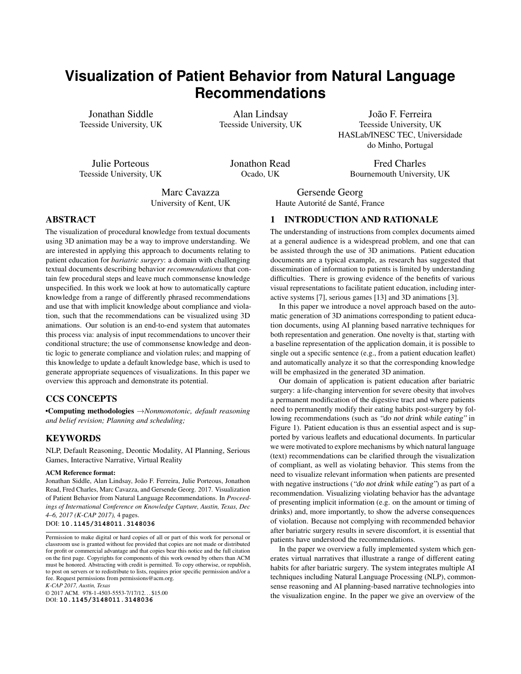<span id="page-1-0"></span>

Figure 1: System Overview: **a** analysis of input NL recommendation to extract desired behavior; **D** use of common sense knowledge and deontic logic to generate compliance and violation rules;  $\bf{Q}$  rules used to generate new actions to extend default planning model (red highlight); d updated planning model used to visualize input recommendation (either compliant or violating scenarios).

key components of the system and then illustrate system behavior via an end-to-end example. We also report on evaluation of user recognition of recommendations from system-generated animations.

## 2 PREVIOUS AND RELATED WORK

There has been significant interest in the use of natural language (NL) input to generate 3D scenes and animations, ranging from automatic scene creation [\[4\]](#page-3-4) to visualization of complex procedural instructions [\[14\]](#page-3-5). Text-to-Scene visualization systems aim primarily at using NL for image and graphics generation [\[2\]](#page-3-6) or at rendering spatial information conveyed in a text (such as road accidents description [\[8\]](#page-3-7)). Other systems have aimed at generating 3D animations from NL, driving virtual agent behavior from text. The AnimNL system [\[14\]](#page-3-5) was dedicated to the visualization of procedural instructions using a virtual agent with the aim of ultimately using instructions to control the behavior of virtual humans. SceneMaker [\[6\]](#page-3-8) generated animations from film scripts, including some staging elements; this followed work on virtual agent animation from NL [\[9\]](#page-3-9).

The approach we introduce in this paper, is inspired by early work of Badler et al. [\[12\]](#page-3-10), but differs by taking advantage of significant progress in the field of plan-based narrative generation and animation [\[10\]](#page-3-11). Its main objective is to clarify specific instructions, namely recommendations aimed at patients, by modifying narrative generation so that it emphasizes the recommendations' contents, if necessary by showing what happens when these are not complied with. At an implementation level, we use Planning Domain Definition Language (PDDL) 3.0 [\[5\]](#page-3-12) so the formalism can be used for action representation as well as inference and commonsense reasoning. We also use PDDL predicates to ground NL semantics, facilitating the integration of NLP despite limited coverage.

## 3 SYSTEM OVERVIEW

Figure [1](#page-1-0) gives an overview of the different components of our system. System input is NL sentences from patient education documents and output is a visualization illustrating this recommendation in the context of a typical meal. There are two modes of operation for the system: (i) illustrating behavior that is compliant with respect to the input recommendation; or (ii) illustrating behaviors that violate it.

For generation of behaviors our approach uses an AI planning formalism. This is because this "eating habits" domain is actioncentric which enables patient behaviors to be naturally represented as planning actions. Additionally AI planning can be used to generate multiple different eating behavior scenarios ready for visualization. Our prototype system features a default planning domain model containing key actions, such as food selection, putting food in the mouth, chewing and swallowing along with basic commonsense knowledge taken for granted in the application domain, such as the basic physics of food properties (substance, size, and physical transformations) and how they accumulate. For plan-based scenario generation in our system, an initial state was created that involved a selection of foods, which are appropriate for the recommendations (e.g. soft and small-portions). Since narrative generation requires a complete plan to be produced, a bespoke goal was used to drive plan generation, namely that the patient has completed their meal. This default domain model and planning problem enabled generation of a range of eating habit scenarios.

The key stages of the system, as shown in Figure [1,](#page-1-0) are as follows: STAGE (A): an input NL recommendation is analyzed to produce a deontic structure in which the target actions of the recommendation are embedded (e.g. eating and drinking for the recommendation "do not drink while eating"). Actions are represented as templates